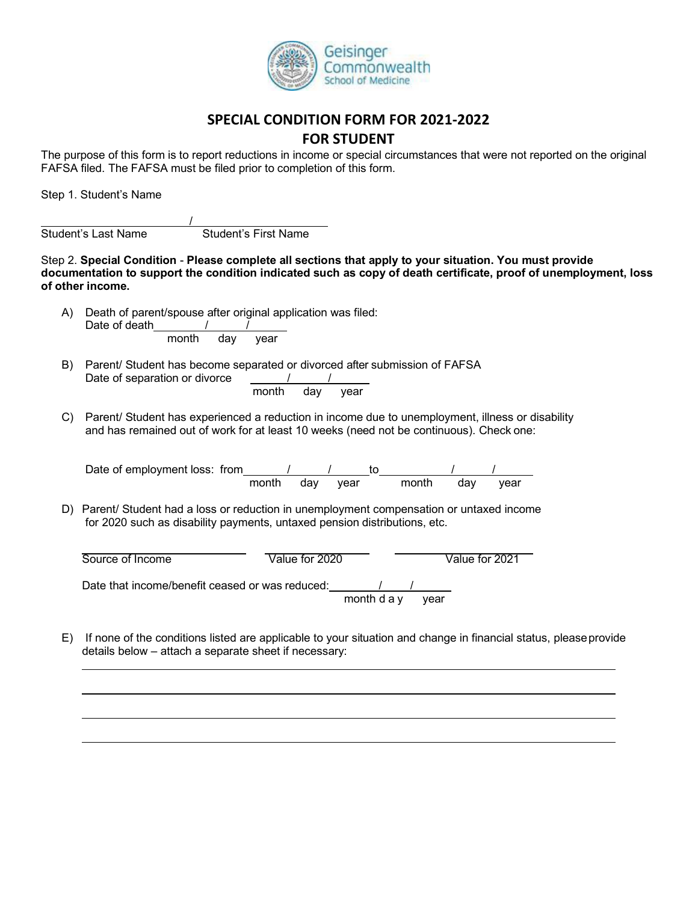

## **SPECIAL CONDITION FORM FOR 2021-2022**

## **FOR STUDENT**

The purpose of this form is to report reductions in income or special circumstances that were not reported on the original FAFSA filed. The FAFSA must be filed prior to completion of this form.

Step 1. Student's Name

Student's Last Name Student's First Name

Step 2. **Special Condition** - **Please complete all sections that apply to your situation. You must provide documentation to support the condition indicated such as copy of death certificate, proof of unemployment, loss of other income.**

A) Death of parent/spouse after original application was filed: Date of death  $/$ month day year

/

- B) Parent/ Student has become separated or divorced after submission of FAFSA Date of separation or divorce  $\qquad \qquad \qquad / \qquad \qquad /$ month day year
- C) Parent/ Student has experienced a reduction in income due to unemployment, illness or disability and has remained out of work for at least 10 weeks (need not be continuous). Check one:

Date of employment loss: from  $\frac{1}{2}$  /  $\frac{1}{2}$  to  $\frac{1}{2}$  /  $\frac{1}{2}$  /  $\frac{1}{2}$  /  $\frac{1}{2}$  /  $\frac{1}{2}$  /  $\frac{1}{2}$  /  $\frac{1}{2}$  /  $\frac{1}{2}$  /  $\frac{1}{2}$  /  $\frac{1}{2}$  /  $\frac{1}{2}$  /  $\frac{1}{2}$  /  $\frac{1}{2}$  /  $\frac{1}{2}$  year month day year

D) Parent/ Student had a loss or reduction in unemployment compensation or untaxed income for 2020 such as disability payments, untaxed pension distributions, etc.

| Source of Income                                | Value for 2020 |             |      | Value for 2021 |
|-------------------------------------------------|----------------|-------------|------|----------------|
| Date that income/benefit ceased or was reduced: |                |             |      |                |
|                                                 |                | month d a y | vear |                |

E) If none of the conditions listed are applicable to your situation and change in financial status, pleaseprovide details below – attach a separate sheet if necessary: